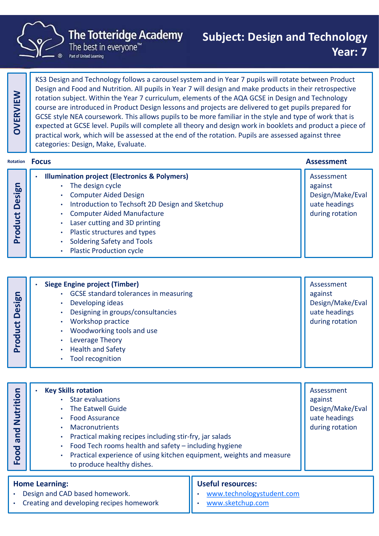

### **The Totteridge Academy**

### Subject: Design and Technology Year: 7

|                   | The best in everyone"<br>Part of United Learning                                                                                                                                                                                                                                                                                                                                                                                                                                                                                                                                                                                                                                                                                                                                                       |  | Year: 7                                                                       |  |
|-------------------|--------------------------------------------------------------------------------------------------------------------------------------------------------------------------------------------------------------------------------------------------------------------------------------------------------------------------------------------------------------------------------------------------------------------------------------------------------------------------------------------------------------------------------------------------------------------------------------------------------------------------------------------------------------------------------------------------------------------------------------------------------------------------------------------------------|--|-------------------------------------------------------------------------------|--|
| OVERVIEW          | KS3 Design and Technology follows a carousel system and in Year 7 pupils will rotate between Product<br>Design and Food and Nutrition. All pupils in Year 7 will design and make products in their retrospective<br>rotation subject. Within the Year 7 curriculum, elements of the AQA GCSE in Design and Technology<br>course are introduced in Product Design lessons and projects are delivered to get pupils prepared for<br>GCSE style NEA coursework. This allows pupils to be more familiar in the style and type of work that is<br>expected at GCSE level. Pupils will complete all theory and design work in booklets and product a piece of<br>practical work, which will be assessed at the end of the rotation. Pupils are assessed against three<br>categories: Design, Make, Evaluate. |  |                                                                               |  |
| Rotation          | <b>Focus</b>                                                                                                                                                                                                                                                                                                                                                                                                                                                                                                                                                                                                                                                                                                                                                                                           |  | <b>Assessment</b>                                                             |  |
| Design<br>Product | <b>Illumination project (Electronics &amp; Polymers)</b><br>The design cycle<br><b>Computer Aided Design</b><br>Introduction to Techsoft 2D Design and Sketchup<br><b>Computer Aided Manufacture</b><br>Laser cutting and 3D printing<br>Plastic structures and types<br><b>Soldering Safety and Tools</b><br><b>Plastic Production cycle</b><br>$\bullet$                                                                                                                                                                                                                                                                                                                                                                                                                                             |  | Assessment<br>against<br>Design/Make/Eval<br>uate headings<br>during rotation |  |
|                   |                                                                                                                                                                                                                                                                                                                                                                                                                                                                                                                                                                                                                                                                                                                                                                                                        |  |                                                                               |  |
|                   |                                                                                                                                                                                                                                                                                                                                                                                                                                                                                                                                                                                                                                                                                                                                                                                                        |  |                                                                               |  |

|                    | <b>Siege Engine project (Timber)</b>         | Assessment       |
|--------------------|----------------------------------------------|------------------|
| Design             | <b>GCSE standard tolerances in measuring</b> | against          |
|                    | Developing ideas                             | Design/Make/Eval |
|                    | Designing in groups/consultancies            | uate headings    |
|                    | Workshop practice                            | during rotation  |
| roduct             | Woodworking tools and use                    |                  |
|                    | Leverage Theory                              |                  |
| $\bar{\mathbf{a}}$ | <b>Health and Safety</b>                     |                  |
|                    | <b>Tool recognition</b>                      |                  |
|                    |                                              |                  |

| <b>Design</b><br>Product                                   | <b>Siege Engine project (Timber)</b><br><b>GCSE standard tolerances in measuring</b><br>Developing ideas<br>Designing in groups/consultancies<br>Workshop practice<br>Woodworking tools and use<br>Leverage Theory     |  | Assessment<br>against<br>Design/Make/Eval<br>uate headings<br>during rotation |
|------------------------------------------------------------|------------------------------------------------------------------------------------------------------------------------------------------------------------------------------------------------------------------------|--|-------------------------------------------------------------------------------|
|                                                            | <b>Health and Safety</b><br>Tool recognition                                                                                                                                                                           |  |                                                                               |
| Nutrition                                                  | <b>Key Skills rotation</b><br><b>Star evaluations</b><br>The Eatwell Guide<br><b>Food Assurance</b><br>Macronutrients                                                                                                  |  | Assessment<br>against<br>Design/Make/Eval<br>uate headings<br>during rotation |
| and<br>Food                                                | Practical making recipes including stir-fry, jar salads<br>Food Tech rooms health and safety - including hygiene<br>Practical experience of using kitchen equipment, weights and measure<br>to produce healthy dishes. |  |                                                                               |
| <b>Useful resources:</b><br><b>Home Learning:</b>          |                                                                                                                                                                                                                        |  |                                                                               |
| Docian and CAD based homework<br>www.tachnologyctudant.com |                                                                                                                                                                                                                        |  |                                                                               |

#### • Design and CAD based homework.

- Creating and developing recipes homework
- www.technologystudent.com
- www.sketchup.com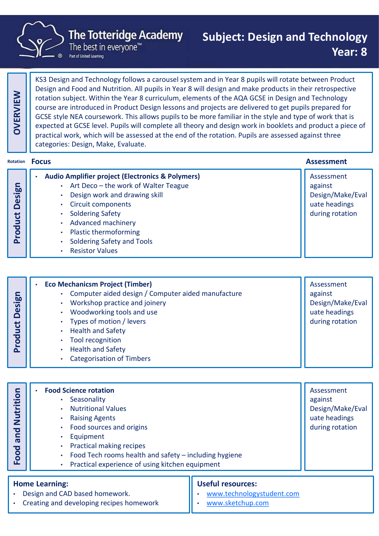

# Subject: Design and Technology Year: 8

|                              | <b>The Totteridge Academy</b><br>The best in everyone <sup>"</sup><br>Part of United Learning                                                                                                                                                                                                                                                                                                                                                                                                                                                                                                                                                                                                                                                                                                          | <b>Subject: Design and Technology</b>                                     | Year: 8                                                                       |
|------------------------------|--------------------------------------------------------------------------------------------------------------------------------------------------------------------------------------------------------------------------------------------------------------------------------------------------------------------------------------------------------------------------------------------------------------------------------------------------------------------------------------------------------------------------------------------------------------------------------------------------------------------------------------------------------------------------------------------------------------------------------------------------------------------------------------------------------|---------------------------------------------------------------------------|-------------------------------------------------------------------------------|
| OVERVIEW                     | KS3 Design and Technology follows a carousel system and in Year 8 pupils will rotate between Product<br>Design and Food and Nutrition. All pupils in Year 8 will design and make products in their retrospective<br>rotation subject. Within the Year 8 curriculum, elements of the AQA GCSE in Design and Technology<br>course are introduced in Product Design lessons and projects are delivered to get pupils prepared for<br>GCSE style NEA coursework. This allows pupils to be more familiar in the style and type of work that is<br>expected at GCSE level. Pupils will complete all theory and design work in booklets and product a piece of<br>practical work, which will be assessed at the end of the rotation. Pupils are assessed against three<br>categories: Design, Make, Evaluate. |                                                                           |                                                                               |
| Rotation                     | <b>Focus</b>                                                                                                                                                                                                                                                                                                                                                                                                                                                                                                                                                                                                                                                                                                                                                                                           |                                                                           | <b>Assessment</b>                                                             |
| <b>Product Design</b>        | <b>Audio Amplifier project (Electronics &amp; Polymers)</b><br>• Art Deco - the work of Walter Teague<br>Design work and drawing skill<br><b>Circuit components</b><br><b>Soldering Safety</b><br><b>Advanced machinery</b><br><b>Plastic thermoforming</b><br><b>Soldering Safety and Tools</b><br><b>Resistor Values</b>                                                                                                                                                                                                                                                                                                                                                                                                                                                                             |                                                                           | Assessment<br>against<br>Design/Make/Eval<br>uate headings<br>during rotation |
|                              |                                                                                                                                                                                                                                                                                                                                                                                                                                                                                                                                                                                                                                                                                                                                                                                                        |                                                                           |                                                                               |
| esign<br>$\Omega$<br>Product | <b>Eco Mechanicsm Project (Timber)</b><br>$\bullet$<br>Computer aided design / Computer aided manufacture<br>Workshop practice and joinery<br>Woodworking tools and use<br>Types of motion / levers<br><b>Health and Safety</b><br><b>Tool recognition</b><br><b>Health and Safety</b><br><b>Categorisation of Timbers</b>                                                                                                                                                                                                                                                                                                                                                                                                                                                                             |                                                                           | Assessment<br>against<br>Design/Make/Eval<br>uate headings<br>during rotation |
|                              |                                                                                                                                                                                                                                                                                                                                                                                                                                                                                                                                                                                                                                                                                                                                                                                                        |                                                                           |                                                                               |
| Nutrition<br>and<br>Food     | <b>Food Science rotation</b><br>Seasonality<br><b>Nutritional Values</b><br><b>Raising Agents</b><br>Food sources and origins<br>Equipment<br><b>Practical making recipes</b><br>Food Tech rooms health and safety - including hygiene<br>Practical experience of using kitchen equipment                                                                                                                                                                                                                                                                                                                                                                                                                                                                                                              |                                                                           | Assessment<br>against<br>Design/Make/Eval<br>uate headings<br>during rotation |
|                              | <b>Home Learning:</b><br>Design and CAD based homework.<br>Creating and developing recines homework                                                                                                                                                                                                                                                                                                                                                                                                                                                                                                                                                                                                                                                                                                    | <b>Useful resources:</b><br>www.technologystudent.com<br>www.ckatchun.com |                                                                               |

- Raising Agents Food sources and origins
	- **Equipment**
	- Practical making recipes
	-
	- Practical experience of using kitchen equipment

#### Home Learning:

- Design and CAD based homework.
- Creating and developing recipes homework

#### Useful resources:

• www.sketchup.com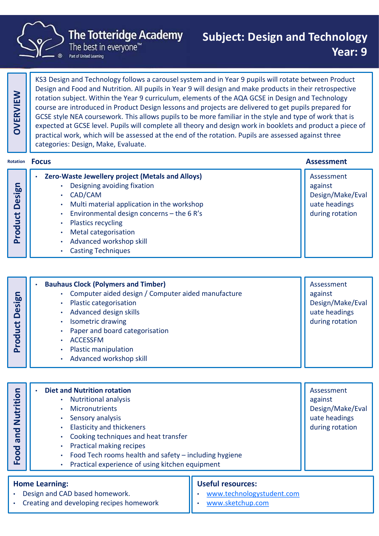

### The Totteridge Academy

The best in everyone<sup>™</sup>

# Subject: Design and Technology Year: 9

|                   | Part of United Learning                                                                                                                                                                                                                                                                                                                                                                                                                                                                                                                                                                                                                                                                                                                                                                                | 1591 . J                                                                      |  |
|-------------------|--------------------------------------------------------------------------------------------------------------------------------------------------------------------------------------------------------------------------------------------------------------------------------------------------------------------------------------------------------------------------------------------------------------------------------------------------------------------------------------------------------------------------------------------------------------------------------------------------------------------------------------------------------------------------------------------------------------------------------------------------------------------------------------------------------|-------------------------------------------------------------------------------|--|
| <b>OVERVIEW</b>   | KS3 Design and Technology follows a carousel system and in Year 9 pupils will rotate between Product<br>Design and Food and Nutrition. All pupils in Year 9 will design and make products in their retrospective<br>rotation subject. Within the Year 9 curriculum, elements of the AQA GCSE in Design and Technology<br>course are introduced in Product Design lessons and projects are delivered to get pupils prepared for<br>GCSE style NEA coursework. This allows pupils to be more familiar in the style and type of work that is<br>expected at GCSE level. Pupils will complete all theory and design work in booklets and product a piece of<br>practical work, which will be assessed at the end of the rotation. Pupils are assessed against three<br>categories: Design, Make, Evaluate. |                                                                               |  |
| Rotation          | <b>Focus</b>                                                                                                                                                                                                                                                                                                                                                                                                                                                                                                                                                                                                                                                                                                                                                                                           | <b>Assessment</b>                                                             |  |
| Design<br>Product | <b>Zero-Waste Jewellery project (Metals and Alloys)</b><br>$\bullet$<br>Designing avoiding fixation<br>CAD/CAM<br>Multi material application in the workshop<br>Environmental design concerns - the 6 R's<br><b>Plastics recycling</b><br>Metal categorisation<br>Advanced workshop skill<br><b>Casting Techniques</b>                                                                                                                                                                                                                                                                                                                                                                                                                                                                                 | Assessment<br>against<br>Design/Make/Eval<br>uate headings<br>during rotation |  |

| <b>Design</b><br>Product | <b>Bauhaus Clock (Polymers and Timber)</b><br>Computer aided design / Computer aided manufacture<br>Plastic categorisation<br>Advanced design skills<br>Isometric drawing<br>Paper and board categorisation<br><b>ACCESSFM</b><br><b>Plastic manipulation</b><br>Advanced workshop skill                                                  | Assessment<br>against<br>Design/Make/Eval<br>uate headings<br>during rotation |
|--------------------------|-------------------------------------------------------------------------------------------------------------------------------------------------------------------------------------------------------------------------------------------------------------------------------------------------------------------------------------------|-------------------------------------------------------------------------------|
| Nutrition<br>and<br>Food | <b>Diet and Nutrition rotation</b><br><b>Nutritional analysis</b><br><b>Micronutrients</b><br>Sensory analysis<br><b>Elasticity and thickeners</b><br>Cooking techniques and heat transfer<br>Practical making recipes<br>Food Tech rooms health and safety - including hygiene<br><b>Dractical ovnerionse of using kitchen equipment</b> | Assessment<br>against<br>Design/Make/Eval<br>uate headings<br>during rotation |

| <b>Design</b><br>Product                           | compater andea acorgiry compater andea mandracture<br>Plastic categorisation<br>$\bullet$<br>Advanced design skills<br>$\bullet$<br><b>Isometric drawing</b><br>$\bullet$<br>Paper and board categorisation<br>$\bullet$<br><b>ACCESSFM</b><br>$\bullet$<br><b>Plastic manipulation</b><br>Advanced workshop skill<br>$\bullet$                                                                                  | ~~~~~~<br>Design/Make/Eval<br>uate headings<br>during rotation                |
|----------------------------------------------------|------------------------------------------------------------------------------------------------------------------------------------------------------------------------------------------------------------------------------------------------------------------------------------------------------------------------------------------------------------------------------------------------------------------|-------------------------------------------------------------------------------|
| Nutrition<br>pa<br>$\bar{\mathbf{\sigma}}$<br>Food | <b>Diet and Nutrition rotation</b><br><b>Nutritional analysis</b><br>$\bullet$<br><b>Micronutrients</b><br>Sensory analysis<br>$\bullet$<br><b>Elasticity and thickeners</b><br>$\bullet$<br>Cooking techniques and heat transfer<br>$\bullet$<br>Practical making recipes<br>$\bullet$<br>Food Tech rooms health and safety - including hygiene<br>Practical experience of using kitchen equipment<br>$\bullet$ | Assessment<br>against<br>Design/Make/Eval<br>uate headings<br>during rotation |
|                                                    | <b>Useful resources:</b><br><b>Home Learning:</b><br>Design and CAD based homework.<br>www.technologystudent.com<br>Creating and developing recines homework<br>www.ckatchun.com                                                                                                                                                                                                                                 |                                                                               |

#### Home Learning:

- Design and CAD based homework.
- Creating and developing recipes homework

### Useful resources:

- www.technologystudent.com
- www.sketchup.com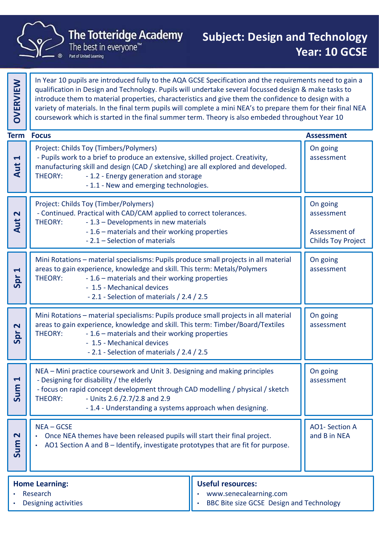

**Research** 

• Designing activities

In Year 10 pupils are introduced fully to the AQA GCSE Specification and the requirements need to gain a qualification in Design and Technology. Pupils will undertake several focussed design & make tasks to introduce them to material properties, characteristics and give them the confidence to design with a variety of materials. In the final term pupils will complete a mini NEA's to prepare them for their final NEA The Totteridge Academy<br>
The best in everyone"<br>
The best in everyone"<br>
The best in everyone"<br>
The best in everyone"<br>
The best in everyone"<br>
The best in everyone"<br>
The best in everyone"<br>
The best in everyone"<br>
Year: 10 GCSE<br> Project: Childs Toy (Timbers/Polymers) The Totteridge Academy<br>
The best in everyone"<br>
The best in everyone"<br>
Pea<br>
Near 10 pupils are introduce fully to the AQA GCSE Specification and the requirement<br>
qualification in Design and Technology. Pupils will undertake manufacturing skill and design (CAD / sketching) are all explored and developed. The Totteridge Academy<br>
The best in everyone"<br>
The best in everyone"<br>
In Year 10 pupils are introduced fully to the AQA GCSE Specification and the requirement<br>
qualification in Design and Technology. Pupils will undertake **Totteridge Academy**<br>
Subject: Design and T<br>
best in everyone<sup>the</sup><br>
best in everyone<sup>the</sup><br>
best in everyone<sup>the</sup><br>
best in the final term pupils will undertake several focussed design & m<br>
to material properties, characteri On going assessment The Totteridge Academy<br>
The best in everyone<br>
The best in everyone<br>
The best in everyone<br>
The best in everyone<br>
The best in everyone<br>
In Year 10 pupils are introduced fully to the AQA GCSE Specific<br>
In Year 10 pupils are i Project: Childs Toy (Timber/Polymers) Fraction and the required fully to the AQA GCSE Specification and the require<br>
space and Technology. Pupils will undertake several focussed designt<br>
individuate them to material properties, characteristics and give them th In Year 10 pupils are introduced fully to the AQA GCSE Specification and the requirements<br>
qualification in Design and Technology. Pupils will undertake several focussed design & m<br>
introduce them to material properties, c For an expective of the AQA GCSE Specification and the requirements<br>
Design and Technology. Pupils will undertake several focussed design & m:<br>
to material properties, characteristics and give them the confidence to de<br>
ta are murousceur any or le Aux Oste Specination and the requirements<br>are a selection and Technology. Pupils will undertake several focussed design & m<br>to material properties, characteristics and give them the confidence to d On going assessment Assessment of The observation in Design and Technology. Pupils will undertake several focussed design & make tasks to<br>signal more are introduced fully to the AQA GCSE Specification and the requirements need to gain a<br>qualification in De Mini Rotations – material species – them are the material species – the material species (and the material specialisms: Project: Childs Top (Timbers/Polymers)<br>
Project: Childs Toy (Timbers/Polymers)<br>
Project: Childs Toy (T areas to gain experience, knowledge and skill. This term: Metals/Polymers Coursework which is started in the limits is started in the material in the course of the conduct and the properties of the manufacturing skill and design (CAD / sketching) are all explored and developed.<br>
THEORY: - 1.2 - Solution and design and state and state and state and their state and the material and the material and their working are all explored and developed.<br>
1.2 - Energy generation and storage<br>
1.1 - New and emerging technologie by (Timbers/Polymers)<br>
a brief to produce an extensive, skilled project. Creativity,<br>
cill and design (CAD / sketching) are all explored and developed.<br>
1.2 - Energy generation and storage<br>
1.1 - New and emerging technolog On going assessment Franchistant Theory<br>
Frontier Coursework which is started in the final summer term. Theory<br>
Froject: Childs Toy (Timbers/Polymers)<br>
Project: Childs Toy (Timbers/Polymers)<br>
Theory<br>
Theory: -1.2 - Energy generation and stora - Pupils work to a brief to produce an extensive, skilled project. Creativity,<br>
manufacturing skill and design (CAD / sketching) are all explored and developed.<br>
THEORY: -1.2 - Energy generation and storage<br>
-1.1 - New and areas to gain experience, knowledge and skill. This term: Timber/Board/Textiles THEORY: - 1.2 - Energy generation and storage<br>
- 1.1 - New and emerging technologies.<br>
- Continued. Practical with CAD/CAM applied to correct tolerances.<br>
THEORY: - 1.3 – Developments in new materials<br>
- 1.6 – materials an - 1.1 - New and emerging technologies.<br>
oy (Timber/Polymers)<br>
actical with CAD/CAM applied to correct tolerances.<br>
- 1.5 - Developments in new materials<br>
- 1.6 - materials and their working properties<br>
- 2.1 - Selection of by (Timber/Polymers)<br>
ctical with CAD/CAM applied to correct tolerances.<br>
1.3 – Developments in new materials<br>
1.6 – materials and their working properties<br>
2.1 – Selection of materials<br>
material specialisms: Pupils produc On going assessment Manufacturing Skill and design (CAD / sketching) are all explored THEORY: -1.2 - Energy generation and storage<br>
-1.1 - New and emerging technologies.<br>
-1.1 - New and emerging technologies.<br>
-Continued. Practical with CAD/C - Continued. Practice with CAD/CAM applied to correct tolerances.<br>
THEORY:<br>
1.6 – materials and their working properties<br>
2.1 – Selection of materials<br>
Mini Rotations – material specialisms: Pupils produce small projects i FHEORY: - 1.3 – Developments in new materials<br>
- 1.6 – materials and their working properties<br>
- 2.1 – Selection of materials<br>
- 2.1 – Selection of materials<br>
- 2.1 – Selection of materials<br>
- The election of materials<br>
- - 1.6 — materials and their working properties<br>
- 1.6 — material specialisms: Pupils produce small projects in all material<br>
Mini Rotations — material specialisms: Pupils produce small projects in all material<br>
THEORY: - 1 -2.1 – Selection of materials<br>
Mini Rotations – material specialisms: Pupils produce small projects in all material<br>
areas to gain experience, knowledge and skill. This term: Metals/Polymers<br>
THEORY: -1.6 – materials and - material specialisms: Pupils produce small projects in all material<br>
perience, knowledge and skill. This term: Metals/Polymers<br>
- 1.6 – materials and their working properties<br>
- 2.1 - Selection of materials / 2.4 / 2.5<br> On going  $\frac{1}{10}$  - Designing for disability / the elderly<br>- focus on rapid concept development through CAD modelling / physical / sketch<br>- THEORY: - Units 2.6 /2.7/2.8 and 2.9 THEORY: - 1.6 – materials and skill. This term: Metals/Polymers<br>
- 1.6 – materials and their working properties<br>
- 2.1 - Selection of materials / 2.4 / 2.5<br>
Mini Rotations – material specialisms: Pupils produce small proje assessment<br>
On going<br>
assessment<br>
On going<br>
assessment<br>
AO1- Section A<br>
and B in NEA  $\begin{bmatrix} 1 & 1 \ 2 & 3 \end{bmatrix}$  . Once NEA themes have been released pupils will start their final project.<br>  $\begin{bmatrix} 2 & 3 \ 3 & 4 \end{bmatrix}$  . AO1 Section A and B – Identify, investigate prototypes that are fit for purpose. The Totteridge Academy<br>
The Totteridge Academy<br>
The best in everyone"<br>
Pear: 10 GCSE<br>
Publis are introduced fully to the AQA GCSE Specification and the requirements need to gain a<br>
qualification in Design and Technology. P Home Learning: Useful resources: **Term Focus** 

• www.senecalearning.com

• BBC Bite size GCSE Design and Technology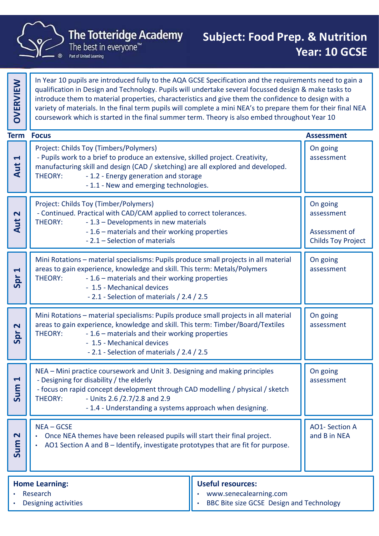

qualification in Design and Technology. Pupils will undertake several focussed design & make tasks to introduce them to material properties, characteristics and give them the confidence to design with a variety of materials. In the final term pupils will complete a mini NEA's to prepare them for their final NEA  $\parallel$ The Year 10 pupils are introduced rully to the AQA GCSE Specification and the requirements need to gain a qualification in Design and Technology. Pupils will undertake several focussed design & make tasks to introduce them Project: Childs Toy (Timbers/Polymers) The Totteridge Academy<br>
The best in everyone"<br>
The best in everyone"<br>
The best in everyone"<br>
Pea<br>
Nearly of materials and Technology. Pupils will undertake several focussed design & m<br>
Introduce them to material properties manufacturing skill and design (CAD / sketching) are all explored and developed. The Totteridge Academy<br>
The best in everyone"<br>
The best in everyone"<br>
In Year 10 pupils are introduced fully to the AQA GCSE Specification and the requirement<br>
qualification in Design and Technology. Pupils will undertake **Totteridge Academy Subject: Food Prep. 8**<br>
Neast in everyone<sup>the</sup><br>
Intervalse are introduced fully to the AQA GCSE Specification and the requirement<br>
Design and Technology. Pupils will undertake several focussed design On going assessment The Totteridge Academy<br>
The best in everyone<br>
The best in everyone<br>
The best in everyone<br>
The best in everyone<br>
The best in everyone<br>
In Year 10 pupils are introduced fully to the AQA GCSE Specific<br>
In Year 10 pupils are i Project: Childs Toy (Timber/Polymers) Fraction and the required fully to the AQA GCSE Specification and the require<br>
space and Technology. Pupils will undertake several focussed designt<br>
individuate them to material properties, characteristics and give them th In Year 10 pupils are introduced fully to the AQA GCSE Specification and the requirements<br>
qualification in Design and Technology. Pupils will undertake several focussed design & m<br>
introduce them to material properties, c For an expective of the AQA GCSE Specification and the requirements<br>
Design and Technology. Pupils will undertake several focussed design & m:<br>
to material properties, characteristics and give them the confidence to de<br>
ta are murousceur any or le Aux Oste Specination and the requirements<br>are a selection and Technology. Pupils will undertake several focussed design & m<br>to material properties, characteristics and give them the confidence to d On going assessment Assessment of The observation in Design and Technology. Pupils will undertake several focussed design & make tasks to<br>signal more are introduced fully to the AQA GCSE Specification and the requirements need to gain a<br>qualification in De Mini Rotations – material species – them are the material species – the material species (and the material specialisms: Project: Childs Top (Timbers/Polymers)<br>
Project: Childs Toy (Timbers/Polymers)<br>
Project: Childs Toy (T areas to gain experience, knowledge and skill. This term: Metals/Polymers Coursework which is started in the minisminal summer term. Theory is also embed into gilout in<br>
Project: Childs Toy (Timbers/Polymers)<br>
- manufacturing skill and design (CAD / sketching) are all explored and developed.<br>
TH Solution and design and state and state and state and their state and the material and the material and their working are all explored and developed.<br>
1.2 - Energy generation and storage<br>
1.1 - New and emerging technologie by (Timbers/Polymers)<br>
a brief to produce an extensive, skilled project. Creativity,<br>
cill and design (CAD / sketching) are all explored and developed.<br>
1.2 - Energy generation and storage<br>
1.1 - New and emerging technolog On going assessment Franchistant Theory<br>
Frontier Coursework which is started in the final summer term. Theory<br>
Froject: Childs Toy (Timbers/Polymers)<br>
Project: Childs Toy (Timbers/Polymers)<br>
Theory<br>
Theory: -1.2 - Energy generation and stora - Pupils work to a brief to produce an extensive, skilled project. Creativity,<br>
manufacturing skill and design (CAD / sketching) are all explored and developed.<br>
THEORY: -1.2 - Energy generation and storage<br>
-1.1 - New and areas to gain experience, knowledge and skill. This term: Timber/Board/Textiles THEORY: - 1.2 - Energy generation and storage<br>
- 1.1 - New and emerging technologies.<br>
- Continued. Practical with CAD/CAM applied to correct tolerances.<br>
THEORY: - 1.3 – Developments in new materials<br>
- 1.6 – materials an - 1.1 - New and emerging technologies.<br>
oy (Timber/Polymers)<br>
actical with CAD/CAM applied to correct tolerances.<br>
- 1.5 - Developments in new materials<br>
- 1.6 - materials and their working properties<br>
- 2.1 - Selection of by (Timber/Polymers)<br>
ctical with CAD/CAM applied to correct tolerances.<br>
1.3 – Developments in new materials<br>
1.6 – materials and their working properties<br>
2.1 – Selection of materials<br>
material specialisms: Pupils produc On going assessment Manufacturing Skill and design (CAD / sketching) are all explored THEORY: -1.2 - Energy generation and storage<br>
-1.1 - New and emerging technologies.<br>
-1.1 - New and emerging technologies.<br>
-Continued. Practical with CAD/C - Continued. Practice with CAD/CAM applied to correct tolerances.<br>
THEORY:<br>
1.6 – materials and their working properties<br>
2.1 – Selection of materials<br>
Mini Rotations – material specialisms: Pupils produce small projects i - 1.3 – Developments in new materials<br>
- 1.6 – materials and their working properties<br>
- 2.1 – Selection of materials<br>
- 2.1 – Selection of materials<br>
Mini Rotations – material specialisms: Pupils produce small projects<br>
r - 1.6 — materials and their working properties<br>
- 1.6 — material specialisms: Pupils produce small projects in all material<br>
Mini Rotations — material specialisms: Pupils produce small projects in all material<br>
THEORY: - 1 -2.1 – Selection of materials<br>
Mini Rotations – material specialisms: Pupils produce small projects in all material<br>
areas to gain experience, knowledge and skill. This term: Metals/Polymers<br>
THEORY: -1.6 – materials and - material specialisms: Pupils produce small projects in all material<br>
perience, knowledge and skill. This term: Metals/Polymers<br>
- 1.6 – materials and their working properties<br>
- 2.1 - Selection of materials / 2.4 / 2.5<br> On going  $\frac{1}{10}$  - Designing for disability / the elderly<br>- focus on rapid concept development through CAD modelling / physical / sketch<br>- THEORY: - Units 2.6 /2.7/2.8 and 2.9 THEORY: - 1.6 – materials and skill. This term: Metals/Polymers<br>
- 1.6 – materials and their working properties<br>
- 2.1 - Selection of materials / 2.4 / 2.5<br>
Mini Rotations – material specialisms: Pupils produce small proje assessment<br>
On going<br>
assessment<br>
On going<br>
assessment<br>
AO1- Section A<br>
and B in NEA and B in NEA Sum 2 The Totteridge Academy<br>
The Totteridge Academy<br>
The best in everyone"<br>
Pear: 10 GCSE<br>
Parison The best in everyone"<br>
Pear: 10 GCSE<br>
Parison and Technology. Pupils will undertake several focussed design & make tasks to<br>
par **Term Focus** 

In Year 10 pupils are introduced fully to the AQA GCSE Specification and the requirements need to gain a

| <b>Home Learning:</b>            | Useful resources:                                                  |  |  |
|----------------------------------|--------------------------------------------------------------------|--|--|
| Research<br>Designing activities | www.senecalearning.com<br>BBC Bite size GCSE Design and Technology |  |  |